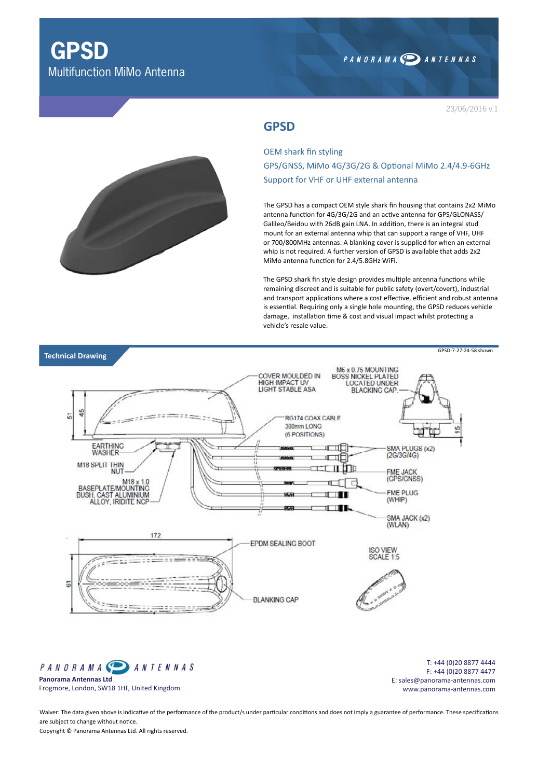# PANORAMA DANTENNAS

23/06/2016 v.1

## **GPSD**

OEM shark fin styling GPS/GNSS, MiMo 4G/3G/2G & Optional MiMo 2.4/4.9-6GHz Support for VHF or UHF external antenna

The GPSD has a compact OEM style shark fin housing that contains 2x2 MiMo antenna function for 4G/3G/2G and an active antenna for GPS/GLONASS/ Galileo/Beidou with 26dB gain LNA. In addition, there is an integral stud mount for an external antenna whip that can support a range of VHF, UHF or 700/800MHz antennas. A blanking cover is supplied for when an external whip is not required. A further version of GPSD is available that adds 2x2 MiMo antenna function for 2.4/5.8GHz WiFi.

The GPSD shark fin style design provides multiple antenna functions while remaining discreet and is suitable for public safety (overt/covert), industrial and transport applications where a cost effective, efficient and robust antenna is essential. Requiring only a single hole mounting, the GPSD reduces vehicle damage, installation time & cost and visual impact whilst protecting a vehicle's resale value.



PANORAMA<sup>®</sup> **ANTENNAS Panorama Antennas Ltd** Frogmore, London, SW18 1HF, United Kingdom

T: +44 (0)20 8877 4444 F: +44 (0)20 8877 4477 E: sales@panorama-antennas.com www.panorama-antennas.com

Waiver: The data given above is indicative of the performance of the product/s under particular conditions and does not imply a guarantee of performance. These specifications are subject to change without notice.

Copyright © Panorama Antennas Ltd. All rights reserved.

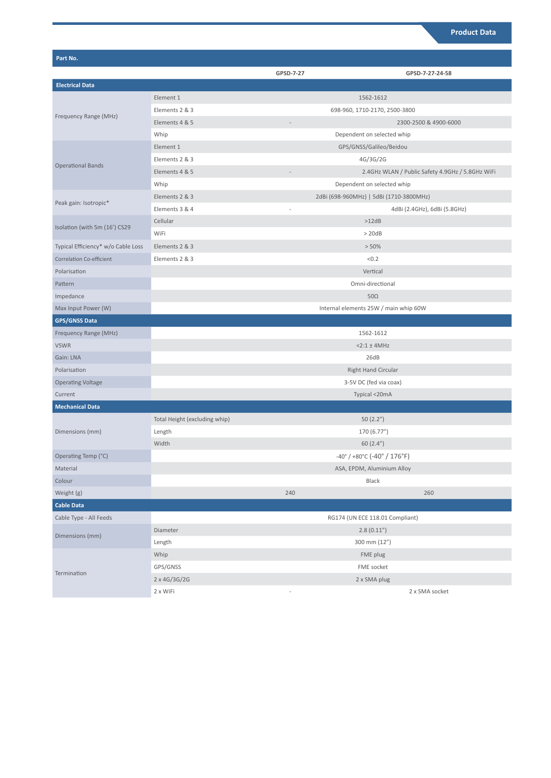| Part No.                           |                               |                                                                    |                                                  |  |
|------------------------------------|-------------------------------|--------------------------------------------------------------------|--------------------------------------------------|--|
|                                    |                               | GPSD-7-27                                                          | GPSD-7-27-24-58                                  |  |
| <b>Electrical Data</b>             |                               |                                                                    |                                                  |  |
| Frequency Range (MHz)              | Element 1                     | 1562-1612                                                          |                                                  |  |
|                                    | Elements 2 & 3                | 698-960, 1710-2170, 2500-3800                                      |                                                  |  |
|                                    | Elements 4 & 5                |                                                                    | 2300-2500 & 4900-6000                            |  |
|                                    | Whip                          | Dependent on selected whip                                         |                                                  |  |
| <b>Operational Bands</b>           | Element 1                     | GPS/GNSS/Galileo/Beidou                                            |                                                  |  |
|                                    | Elements 2 & 3                |                                                                    | 4G/3G/2G                                         |  |
|                                    | Elements 4 & 5                |                                                                    | 2.4GHz WLAN / Public Safety 4.9GHz / 5.8GHz WiFi |  |
|                                    | Whip                          | Dependent on selected whip                                         |                                                  |  |
| Peak gain: Isotropic*              | Elements 2 & 3                |                                                                    | 2dBi (698-960MHz)   5dBi (1710-3800MHz)          |  |
|                                    | Elements 3 & 4                |                                                                    | 4dBi (2.4GHz), 6dBi (5.8GHz)                     |  |
| Isolation (with 5m (16') CS29      | Cellular                      |                                                                    | >12dB                                            |  |
|                                    | WiFi                          | > 20dB                                                             |                                                  |  |
| Typical Efficiency* w/o Cable Loss | Elements 2 & 3                | > 50%                                                              |                                                  |  |
| Correlation Co-efficient           | Elements 2 & 3                | < 0.2                                                              |                                                  |  |
| Polarisation                       |                               | Vertical                                                           |                                                  |  |
| Pattern                            |                               | Omni-directional                                                   |                                                  |  |
| Impedance                          |                               | $50\Omega$                                                         |                                                  |  |
| Max Input Power (W)                |                               | Internal elements 25W / main whip 60W                              |                                                  |  |
| <b>GPS/GNSS Data</b>               |                               |                                                                    |                                                  |  |
| Frequency Range (MHz)              |                               | 1562-1612                                                          |                                                  |  |
| <b>VSWR</b>                        |                               | $2:1 \pm 4MHz$                                                     |                                                  |  |
| Gain: LNA                          |                               | 26dB                                                               |                                                  |  |
| Polarisation                       |                               | <b>Right Hand Circular</b>                                         |                                                  |  |
| <b>Operating Voltage</b>           |                               | 3-5V DC (fed via coax)                                             |                                                  |  |
| Current                            |                               | Typical <20mA                                                      |                                                  |  |
| <b>Mechanical Data</b>             |                               |                                                                    |                                                  |  |
| Dimensions (mm)                    | Total Height (excluding whip) |                                                                    | 50(2.2")                                         |  |
|                                    | Length                        |                                                                    | 170 (6.77")                                      |  |
|                                    | Width                         | 60(2.4")                                                           |                                                  |  |
| Operating Temp (°C)                |                               | $-40^{\circ}$ / $+80^{\circ}$ C ( $-40^{\circ}$ / $176^{\circ}$ F) |                                                  |  |
| Material                           |                               | ASA, EPDM, Aluminium Alloy                                         |                                                  |  |
| Colour                             |                               | Black                                                              |                                                  |  |
| Weight (g)                         |                               | 240                                                                | 260                                              |  |
| <b>Cable Data</b>                  |                               |                                                                    |                                                  |  |
| Cable Type - All Feeds             |                               | RG174 (UN ECE 118.01 Compliant)                                    |                                                  |  |
| Dimensions (mm)                    | Diameter                      |                                                                    | 2.8(0.11'')                                      |  |
|                                    | Length                        |                                                                    | 300 mm (12")                                     |  |
| Termination                        | Whip                          |                                                                    | FME plug                                         |  |
|                                    | GPS/GNSS                      |                                                                    | FME socket                                       |  |
|                                    | 2 x 4G/3G/2G                  |                                                                    | 2 x SMA plug                                     |  |
|                                    | 2 x WiFi                      |                                                                    | 2 x SMA socket                                   |  |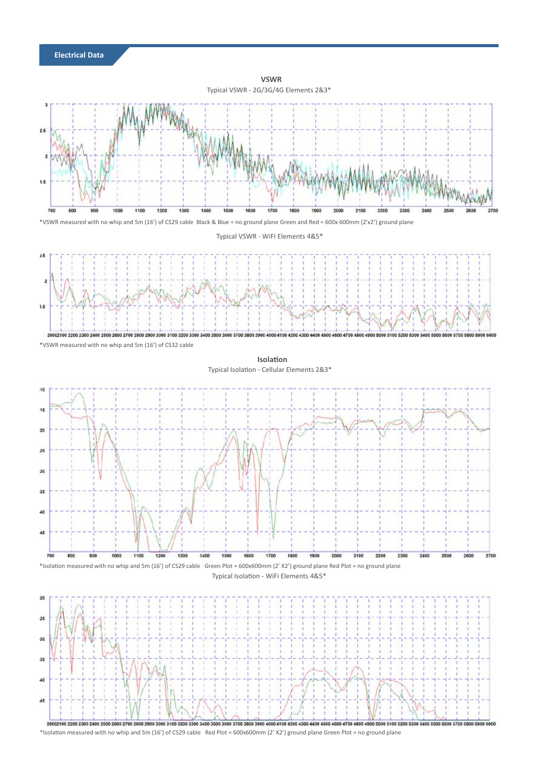

**Electrical Data**

\*Isolation measured with no whip and 5m (16') of CS29 cable Red Plot = 600x600mm (2' X2') ground plane Green Plot = no ground plane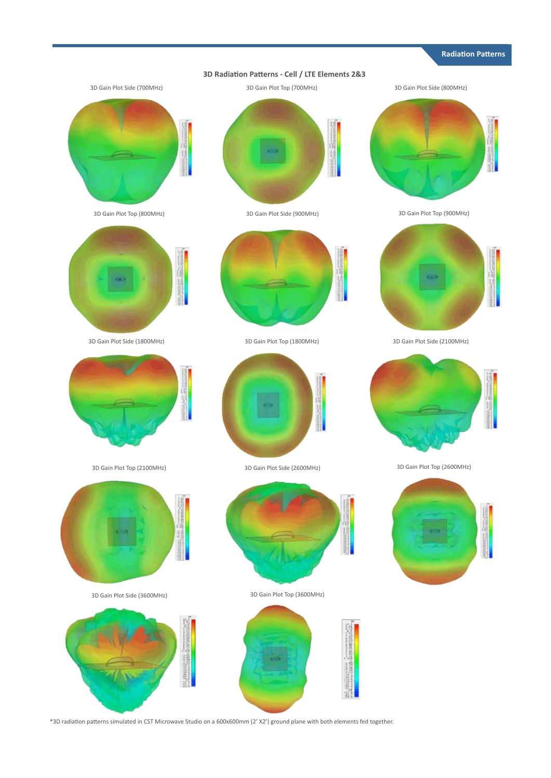#### **Radiation Patterns**















3D Gain Plot Side (1800MHz) 3D Gain Plot Top (1800MHz) 3D Gain Plot Side (2100MHz)









3D Gain Plot Top (2100MHz) 3D Gain Plot Side (2600MHz) 3D Gain Plot Top (2600MHz)







3D Gain Plot Side (3600MHz) 3D Gain Plot Top (3600MHz)



\*3D radiation patterns simulated in CST Microwave Studio on a 600x600mm (2' X2') ground plane with both elements fed together.